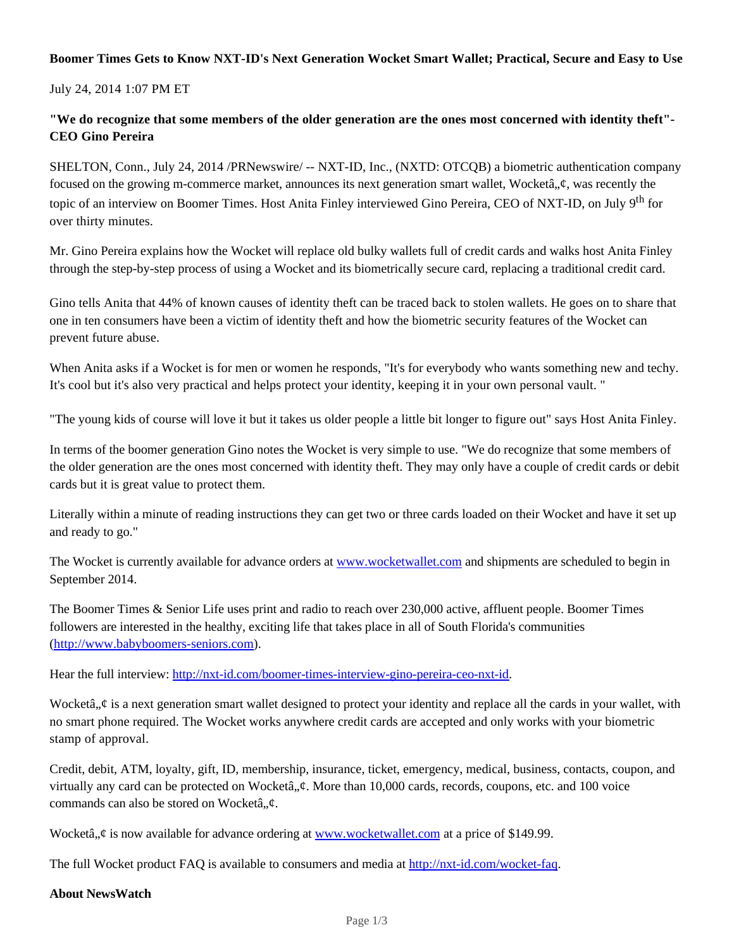## **Boomer Times Gets to Know NXT-ID's Next Generation Wocket Smart Wallet; Practical, Secure and Easy to Use**

July 24, 2014 1:07 PM ET

# **"We do recognize that some members of the older generation are the ones most concerned with identity theft"- CEO Gino Pereira**

SHELTON, Conn., July 24, 2014 /PRNewswire/ -- NXT-ID, Inc., (NXTD: OTCQB) a biometric authentication company focused on the growing m-commerce market, announces its next generation smart wallet, Wocketâ,  $\phi$ , was recently the topic of an interview on Boomer Times. Host Anita Finley interviewed Gino Pereira, CEO of NXT-ID, on July 9<sup>th</sup> for over thirty minutes.

Mr. Gino Pereira explains how the Wocket will replace old bulky wallets full of credit cards and walks host Anita Finley through the step-by-step process of using a Wocket and its biometrically secure card, replacing a traditional credit card.

Gino tells Anita that 44% of known causes of identity theft can be traced back to stolen wallets. He goes on to share that one in ten consumers have been a victim of identity theft and how the biometric security features of the Wocket can prevent future abuse.

When Anita asks if a Wocket is for men or women he responds, "It's for everybody who wants something new and techy. It's cool but it's also very practical and helps protect your identity, keeping it in your own personal vault. "

"The young kids of course will love it but it takes us older people a little bit longer to figure out" says Host Anita Finley.

In terms of the boomer generation Gino notes the Wocket is very simple to use. "We do recognize that some members of the older generation are the ones most concerned with identity theft. They may only have a couple of credit cards or debit cards but it is great value to protect them.

Literally within a minute of reading instructions they can get two or three cards loaded on their Wocket and have it set up and ready to go."

The Wocket is currently available for advance orders at www.wocketwallet.com and shipments are scheduled to begin in September 2014.

The Boomer Times & Senior Life uses print and radio to reach over 230,000 active, affluent people. Boomer Times followers are interested in the healthy, exciting life that takes place in all of South Florida's communities (http://www.babyboomers-seniors.com).

Hear the full interview: http://nxt-id.com/boomer-times-interview-gino-pereira-ceo-nxt-id.

Wocketâ,  $\phi$  is a next generation smart wallet designed to protect your identity and replace all the cards in your wallet, with no smart phone required. The Wocket works anywhere credit cards are accepted and only works with your biometric stamp of approval.

Credit, debit, ATM, loyalty, gift, ID, membership, insurance, ticket, emergency, medical, business, contacts, coupon, and virtually any card can be protected on Wocketâ,  $\phi$ . More than 10,000 cards, records, coupons, etc. and 100 voice commands can also be stored on Wocketâ.. $\mathfrak{C}$ .

Wocketâ,  $\phi$  is now available for advance ordering at www.wocketwallet.com at a price of \$149.99.

The full Wocket product FAQ is available to consumers and media at http://nxt-id.com/wocket-faq.

#### **About NewsWatch**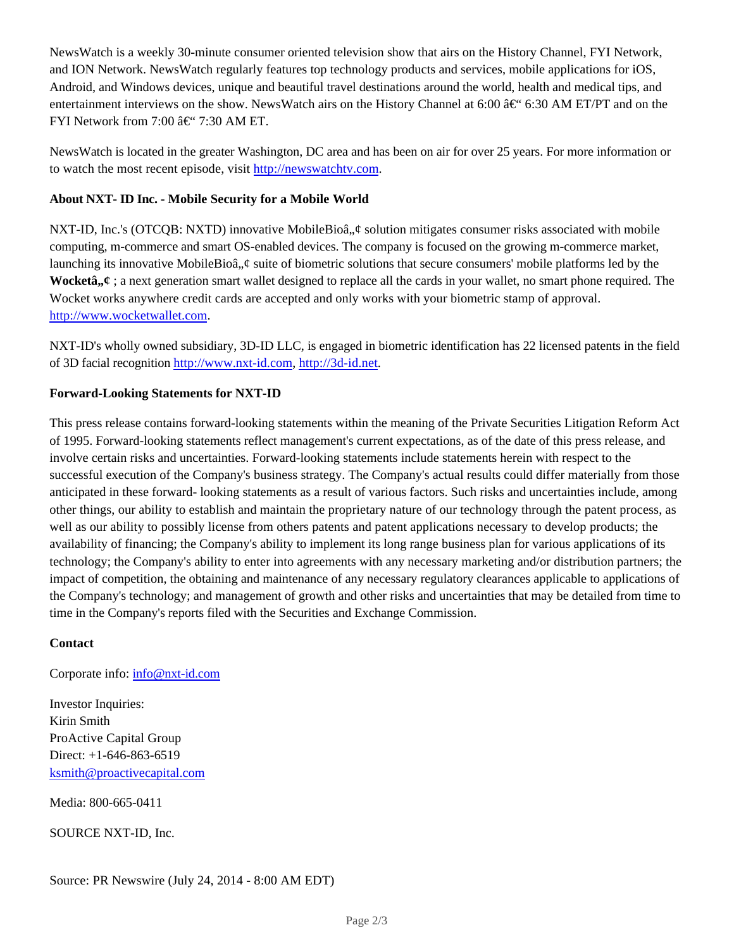NewsWatch is a weekly 30-minute consumer oriented television show that airs on the History Channel, FYI Network, and ION Network. NewsWatch regularly features top technology products and services, mobile applications for iOS, Android, and Windows devices, unique and beautiful travel destinations around the world, health and medical tips, and entertainment interviews on the show. NewsWatch airs on the History Channel at 6:00  $\hat{a} \in \hat{b}$  6:30 AM ET/PT and on the FYI Network from 7:00  $\hat{a} \in$  '' 7:30 AM ET.

NewsWatch is located in the greater Washington, DC area and has been on air for over 25 years. For more information or to watch the most recent episode, visit http://newswatchtv.com.

## **About NXT- ID Inc. - Mobile Security for a Mobile World**

NXT-ID, Inc.'s (OTCQB: NXTD) innovative MobileBioâ,  $\phi$  solution mitigates consumer risks associated with mobile computing, m-commerce and smart OS-enabled devices. The company is focused on the growing m-commerce market, launching its innovative MobileBioâ,  $\phi$  suite of biometric solutions that secure consumers' mobile platforms led by the **Wocketâ**,  $\ell$ ; a next generation smart wallet designed to replace all the cards in your wallet, no smart phone required. The Wocket works anywhere credit cards are accepted and only works with your biometric stamp of approval. http://www.wocketwallet.com.

NXT-ID's wholly owned subsidiary, 3D-ID LLC, is engaged in biometric identification has 22 licensed patents in the field of 3D facial recognition http://www.nxt-id.com, http://3d-id.net.

## **Forward-Looking Statements for NXT-ID**

This press release contains forward-looking statements within the meaning of the Private Securities Litigation Reform Act of 1995. Forward-looking statements reflect management's current expectations, as of the date of this press release, and involve certain risks and uncertainties. Forward-looking statements include statements herein with respect to the successful execution of the Company's business strategy. The Company's actual results could differ materially from those anticipated in these forward- looking statements as a result of various factors. Such risks and uncertainties include, among other things, our ability to establish and maintain the proprietary nature of our technology through the patent process, as well as our ability to possibly license from others patents and patent applications necessary to develop products; the availability of financing; the Company's ability to implement its long range business plan for various applications of its technology; the Company's ability to enter into agreements with any necessary marketing and/or distribution partners; the impact of competition, the obtaining and maintenance of any necessary regulatory clearances applicable to applications of the Company's technology; and management of growth and other risks and uncertainties that may be detailed from time to time in the Company's reports filed with the Securities and Exchange Commission.

### **Contact**

Corporate info: info@nxt-id.com

Investor Inquiries: Kirin Smith ProActive Capital Group Direct: +1-646-863-6519 ksmith@proactivecapital.com

Media: 800-665-0411

SOURCE NXT-ID, Inc.